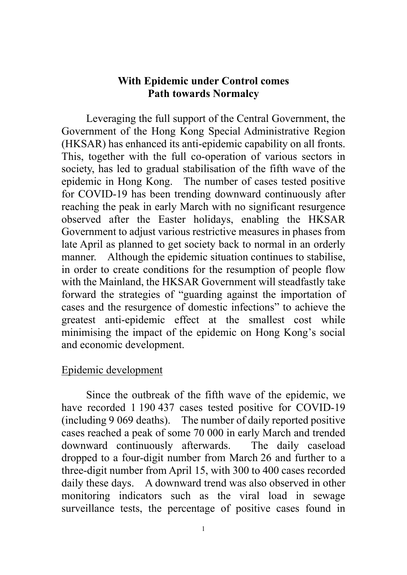# **With Epidemic under Control comes Path towards Normalcy**

Leveraging the full support of the Central Government, the Government of the Hong Kong Special Administrative Region (HKSAR) has enhanced its anti-epidemic capability on all fronts. This, together with the full co-operation of various sectors in society, has led to gradual stabilisation of the fifth wave of the epidemic in Hong Kong. The number of cases tested positive for COVID-19 has been trending downward continuously after reaching the peak in early March with no significant resurgence observed after the Easter holidays, enabling the HKSAR Government to adjust various restrictive measures in phases from late April as planned to get society back to normal in an orderly manner. Although the epidemic situation continues to stabilise, in order to create conditions for the resumption of people flow with the Mainland, the HKSAR Government will steadfastly take forward the strategies of "guarding against the importation of cases and the resurgence of domestic infections" to achieve the greatest anti-epidemic effect at the smallest cost while minimising the impact of the epidemic on Hong Kong's social and economic development.

### Epidemic development

Since the outbreak of the fifth wave of the epidemic, we have recorded 1 190 437 cases tested positive for COVID-19 (including 9 069 deaths). The number of daily reported positive cases reached a peak of some 70 000 in early March and trended downward continuously afterwards. The daily caseload dropped to a four-digit number from March 26 and further to a three-digit number from April 15, with 300 to 400 cases recorded daily these days. A downward trend was also observed in other monitoring indicators such as the viral load in sewage surveillance tests, the percentage of positive cases found in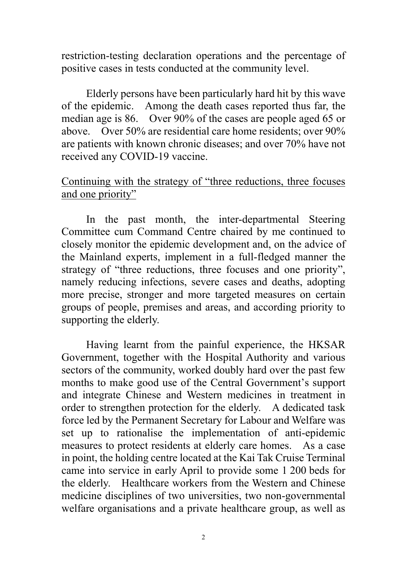restriction-testing declaration operations and the percentage of positive cases in tests conducted at the community level.

Elderly persons have been particularly hard hit by this wave of the epidemic. Among the death cases reported thus far, the median age is 86. Over 90% of the cases are people aged 65 or above. Over 50% are residential care home residents; over 90% are patients with known chronic diseases; and over 70% have not received any COVID-19 vaccine.

# Continuing with the strategy of "three reductions, three focuses and one priority"

In the past month, the inter-departmental Steering Committee cum Command Centre chaired by me continued to closely monitor the epidemic development and, on the advice of the Mainland experts, implement in a full-fledged manner the strategy of "three reductions, three focuses and one priority", namely reducing infections, severe cases and deaths, adopting more precise, stronger and more targeted measures on certain groups of people, premises and areas, and according priority to supporting the elderly.

Having learnt from the painful experience, the HKSAR Government, together with the Hospital Authority and various sectors of the community, worked doubly hard over the past few months to make good use of the Central Government's support and integrate Chinese and Western medicines in treatment in order to strengthen protection for the elderly. A dedicated task force led by the Permanent Secretary for Labour and Welfare was set up to rationalise the implementation of anti-epidemic measures to protect residents at elderly care homes. As a case in point, the holding centre located at the Kai Tak Cruise Terminal came into service in early April to provide some 1 200 beds for the elderly. Healthcare workers from the Western and Chinese medicine disciplines of two universities, two non-governmental welfare organisations and a private healthcare group, as well as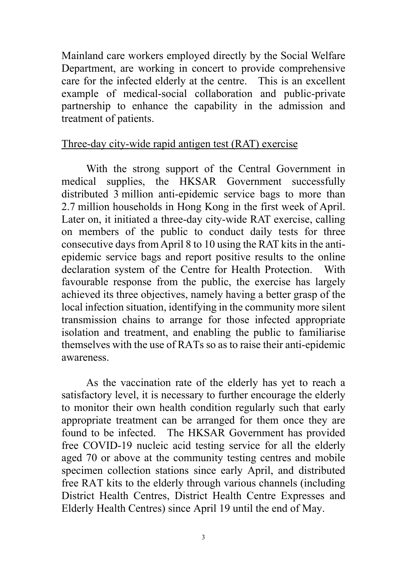Mainland care workers employed directly by the Social Welfare Department, are working in concert to provide comprehensive care for the infected elderly at the centre. This is an excellent example of medical-social collaboration and public-private partnership to enhance the capability in the admission and treatment of patients.

### Three-day city-wide rapid antigen test (RAT) exercise

With the strong support of the Central Government in medical supplies, the HKSAR Government successfully distributed 3 million anti-epidemic service bags to more than 2.7 million households in Hong Kong in the first week of April. Later on, it initiated a three-day city-wide RAT exercise, calling on members of the public to conduct daily tests for three consecutive days from April 8 to 10 using the RAT kits in the antiepidemic service bags and report positive results to the online declaration system of the Centre for Health Protection. With favourable response from the public, the exercise has largely achieved its three objectives, namely having a better grasp of the local infection situation, identifying in the community more silent transmission chains to arrange for those infected appropriate isolation and treatment, and enabling the public to familiarise themselves with the use of RATs so as to raise their anti-epidemic awareness.

As the vaccination rate of the elderly has yet to reach a satisfactory level, it is necessary to further encourage the elderly to monitor their own health condition regularly such that early appropriate treatment can be arranged for them once they are found to be infected. The HKSAR Government has provided free COVID-19 nucleic acid testing service for all the elderly aged 70 or above at the community testing centres and mobile specimen collection stations since early April, and distributed free RAT kits to the elderly through various channels (including District Health Centres, District Health Centre Expresses and Elderly Health Centres) since April 19 until the end of May.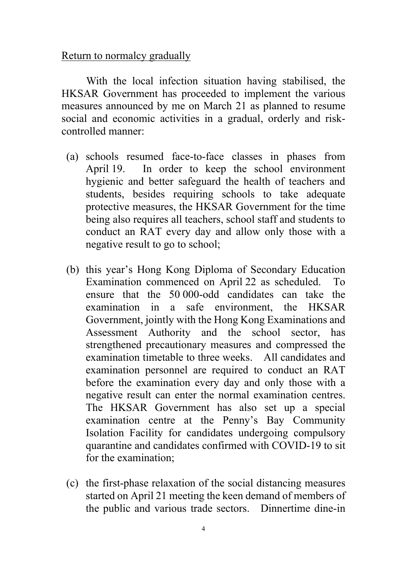#### Return to normalcy gradually

With the local infection situation having stabilised, the HKSAR Government has proceeded to implement the various measures announced by me on March 21 as planned to resume social and economic activities in a gradual, orderly and riskcontrolled manner:

- (a) schools resumed face-to-face classes in phases from April 19. In order to keep the school environment hygienic and better safeguard the health of teachers and students, besides requiring schools to take adequate protective measures, the HKSAR Government for the time being also requires all teachers, school staff and students to conduct an RAT every day and allow only those with a negative result to go to school;
- (b) this year's Hong Kong Diploma of Secondary Education Examination commenced on April 22 as scheduled. To ensure that the 50 000-odd candidates can take the examination in a safe environment, the HKSAR Government, jointly with the Hong Kong Examinations and Assessment Authority and the school sector, has strengthened precautionary measures and compressed the examination timetable to three weeks. All candidates and examination personnel are required to conduct an RAT before the examination every day and only those with a negative result can enter the normal examination centres. The HKSAR Government has also set up a special examination centre at the Penny's Bay Community Isolation Facility for candidates undergoing compulsory quarantine and candidates confirmed with COVID-19 to sit for the examination;
- (c) the first-phase relaxation of the social distancing measures started on April 21 meeting the keen demand of members of the public and various trade sectors. Dinnertime dine-in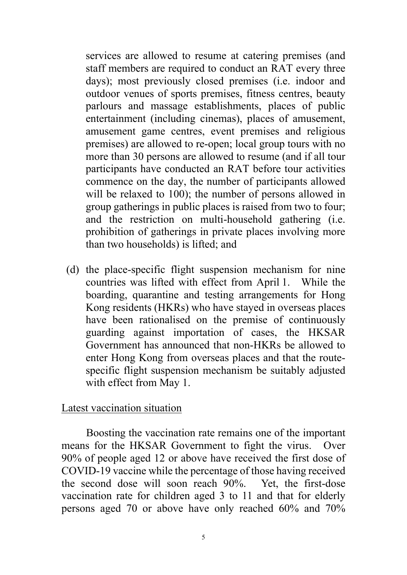services are allowed to resume at catering premises (and staff members are required to conduct an RAT every three days); most previously closed premises (i.e. indoor and outdoor venues of sports premises, fitness centres, beauty parlours and massage establishments, places of public entertainment (including cinemas), places of amusement, amusement game centres, event premises and religious premises) are allowed to re-open; local group tours with no more than 30 persons are allowed to resume (and if all tour participants have conducted an RAT before tour activities commence on the day, the number of participants allowed will be relaxed to 100); the number of persons allowed in group gatherings in public places is raised from two to four; and the restriction on multi-household gathering (i.e. prohibition of gatherings in private places involving more than two households) is lifted; and

(d) the place-specific flight suspension mechanism for nine countries was lifted with effect from April 1. While the boarding, quarantine and testing arrangements for Hong Kong residents (HKRs) who have stayed in overseas places have been rationalised on the premise of continuously guarding against importation of cases, the HKSAR Government has announced that non-HKRs be allowed to enter Hong Kong from overseas places and that the routespecific flight suspension mechanism be suitably adjusted with effect from May 1.

### Latest vaccination situation

Boosting the vaccination rate remains one of the important means for the HKSAR Government to fight the virus. Over 90% of people aged 12 or above have received the first dose of COVID-19 vaccine while the percentage of those having received the second dose will soon reach 90%. Yet, the first-dose vaccination rate for children aged 3 to 11 and that for elderly persons aged 70 or above have only reached 60% and 70%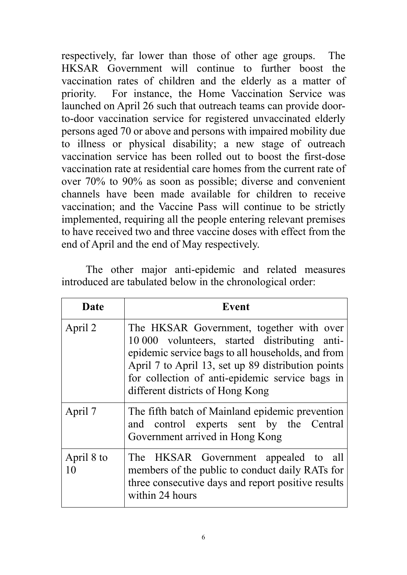respectively, far lower than those of other age groups. The HKSAR Government will continue to further boost the vaccination rates of children and the elderly as a matter of priority. For instance, the Home Vaccination Service was launched on April 26 such that outreach teams can provide doorto-door vaccination service for registered unvaccinated elderly persons aged 70 or above and persons with impaired mobility due to illness or physical disability; a new stage of outreach vaccination service has been rolled out to boost the first-dose vaccination rate at residential care homes from the current rate of over 70% to 90% as soon as possible; diverse and convenient channels have been made available for children to receive vaccination; and the Vaccine Pass will continue to be strictly implemented, requiring all the people entering relevant premises to have received two and three vaccine doses with effect from the end of April and the end of May respectively.

The other major anti-epidemic and related measures introduced are tabulated below in the chronological order:

| Date             | Event                                                                                                                                                                                                                                                                                       |
|------------------|---------------------------------------------------------------------------------------------------------------------------------------------------------------------------------------------------------------------------------------------------------------------------------------------|
| April 2          | The HKSAR Government, together with over<br>10 000 volunteers, started distributing anti-<br>epidemic service bags to all households, and from<br>April 7 to April 13, set up 89 distribution points<br>for collection of anti-epidemic service bags in<br>different districts of Hong Kong |
| April 7          | The fifth batch of Mainland epidemic prevention<br>and control experts sent by the Central<br>Government arrived in Hong Kong                                                                                                                                                               |
| April 8 to<br>10 | The HKSAR Government appealed to all<br>members of the public to conduct daily RATs for<br>three consecutive days and report positive results<br>within 24 hours                                                                                                                            |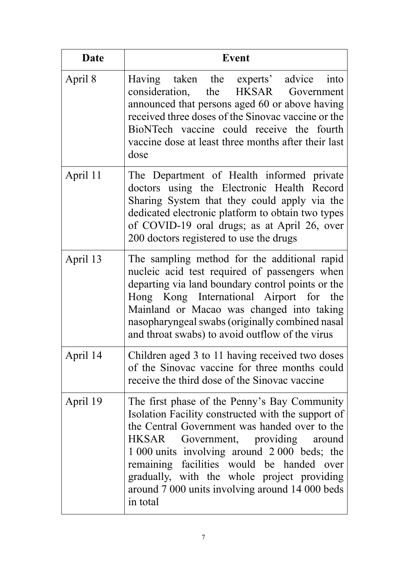| <b>Date</b> | <b>Event</b>                                                                                                                                                                                                                                                                                                                                                                                            |
|-------------|---------------------------------------------------------------------------------------------------------------------------------------------------------------------------------------------------------------------------------------------------------------------------------------------------------------------------------------------------------------------------------------------------------|
| April 8     | Having taken the experts' advice into<br>consideration, the HKSAR Government<br>announced that persons aged 60 or above having<br>received three doses of the Sinovac vaccine or the<br>BioNTech vaccine could receive the fourth<br>vaccine dose at least three months after their last<br>dose                                                                                                        |
| April 11    | The Department of Health informed private<br>doctors using the Electronic Health Record<br>Sharing System that they could apply via the<br>dedicated electronic platform to obtain two types<br>of COVID-19 oral drugs; as at April 26, over<br>200 doctors registered to use the drugs                                                                                                                 |
| April 13    | The sampling method for the additional rapid<br>nucleic acid test required of passengers when<br>departing via land boundary control points or the<br>Hong Kong International Airport for the<br>Mainland or Macao was changed into taking<br>nasopharyngeal swabs (originally combined nasal<br>and throat swabs) to avoid outflow of the virus                                                        |
| April 14    | Children aged 3 to 11 having received two doses<br>of the Sinovac vaccine for three months could<br>receive the third dose of the Sinovac vaccine                                                                                                                                                                                                                                                       |
| April 19    | The first phase of the Penny's Bay Community<br>Isolation Facility constructed with the support of<br>the Central Government was handed over to the<br>Government, providing around<br>HKSAR<br>1 000 units involving around 2 000 beds; the<br>remaining facilities would be handed over<br>gradually, with the whole project providing<br>around 7 000 units involving around 14 000 beds<br>in total |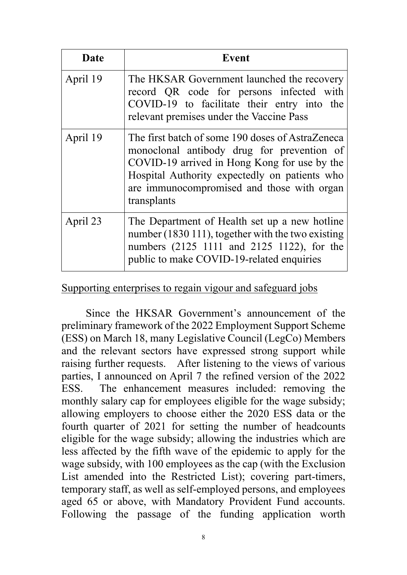| <b>Date</b> | <b>Event</b>                                                                                                                                                                                                                                                 |
|-------------|--------------------------------------------------------------------------------------------------------------------------------------------------------------------------------------------------------------------------------------------------------------|
| April 19    | The HKSAR Government launched the recovery<br>record QR code for persons infected with<br>COVID-19 to facilitate their entry into the<br>relevant premises under the Vaccine Pass                                                                            |
| April 19    | The first batch of some 190 doses of AstraZeneca<br>monoclonal antibody drug for prevention of<br>COVID-19 arrived in Hong Kong for use by the<br>Hospital Authority expectedly on patients who<br>are immunocompromised and those with organ<br>transplants |
| April 23    | The Department of Health set up a new hotline<br>number (1830 111), together with the two existing<br>numbers (2125 1111 and 2125 1122), for the<br>public to make COVID-19-related enquiries                                                                |

#### Supporting enterprises to regain vigour and safeguard jobs

Since the HKSAR Government's announcement of the preliminary framework of the 2022 Employment Support Scheme (ESS) on March 18, many Legislative Council (LegCo) Members and the relevant sectors have expressed strong support while raising further requests. After listening to the views of various parties, I announced on April 7 the refined version of the 2022 ESS. The enhancement measures included: removing the monthly salary cap for employees eligible for the wage subsidy; allowing employers to choose either the 2020 ESS data or the fourth quarter of 2021 for setting the number of headcounts eligible for the wage subsidy; allowing the industries which are less affected by the fifth wave of the epidemic to apply for the wage subsidy, with 100 employees as the cap (with the Exclusion List amended into the Restricted List); covering part-timers, temporary staff, as well as self-employed persons, and employees aged 65 or above, with Mandatory Provident Fund accounts. Following the passage of the funding application worth